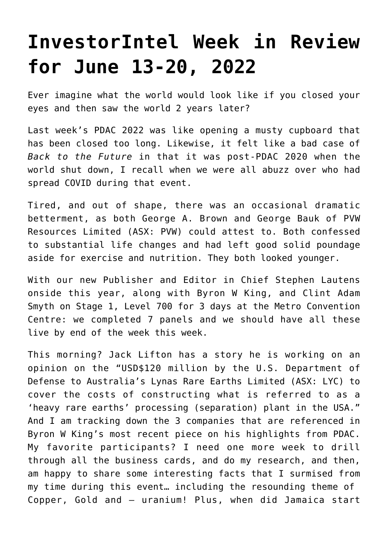## **[InvestorIntel Week in Review](https://investorintel.com/market-analysis/market-analysis-intel/investorintel-week-in-review-for-june-13-20-2022/) [for June 13-20, 2022](https://investorintel.com/market-analysis/market-analysis-intel/investorintel-week-in-review-for-june-13-20-2022/)**

Ever imagine what the world would look like if you closed your eyes and then saw the world 2 years later?

Last week's PDAC 2022 was like opening a musty cupboard that has been closed too long. Likewise, it felt like a bad case of *Back to the Future* in that it was post-PDAC 2020 when the world shut down, I recall when we were all abuzz over who had spread COVID during that event.

Tired, and out of shape, there was an occasional dramatic betterment, as both George A. Brown and George Bauk of [PVW](https://pvwresources.com.au/) [Resources Limited](https://pvwresources.com.au/) (ASX: PVW) could attest to. Both confessed to substantial life changes and had left good solid poundage aside for exercise and nutrition. They both looked younger.

With our new Publisher and Editor in Chief Stephen Lautens onside this year, along with Byron W King, and Clint Adam Smyth on Stage 1, Level 700 for 3 days at the Metro Convention Centre: we completed 7 panels and we should have all these live by end of the week this week.

This morning? Jack Lifton has a story he is working on an opinion on the "USD\$120 million by the U.S. Department of Defense to Australia's Lynas Rare Earths Limited (ASX: LYC) to cover the costs of constructing what is referred to as a 'heavy rare earths' processing (separation) plant in the USA." And I am tracking down the 3 companies that are referenced in Byron W King's most [recent piece o](https://investorintel.com/markets/technology-metals/technology-metals-intel/fresh-from-toronto-three-mexican-beauties/)n his highlights from PDAC. My favorite participants? I need one more week to drill through all the business cards, and do my research, and then, am happy to share some interesting facts that I surmised from my time during this event… including the resounding theme of Copper, Gold and — uranium! Plus, when did Jamaica start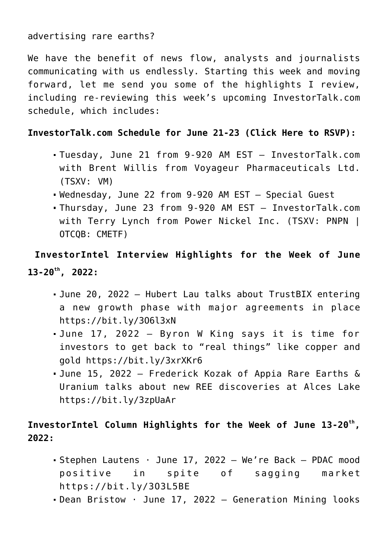## advertising rare earths?

We have the benefit of news flow, analysts and journalists communicating with us endlessly. Starting this week and moving forward, let me send you some of the highlights I review, including re-reviewing this week's upcoming InvestorTalk.com schedule, which includes:

## **InvestorTalk.com Schedule for June 21-23 ([Click Here to RSVP](https://investortalk.com/)):**

- Tuesday, June 21 from 9-920 AM EST InvestorTalk.com with Brent Willis from Voyageur Pharmaceuticals Ltd. (TSXV: VM)
- Wednesday, June 22 from 9-920 AM EST Special Guest
- Thursday, June 23 from 9-920 AM EST InvestorTalk.com with Terry Lynch from Power Nickel Inc. (TSXV: PNPN | OTCQB: CMETF)

**InvestorIntel Interview Highlights for the Week of June 13-20th, 2022:**

- June 20, 2022 Hubert Lau talks about TrustBIX entering a new growth phase with major agreements in place <https://bit.ly/3O6l3xN>
- June 17, 2022 Byron W King says it is time for investors to get back to "real things" like copper and gold <https://bit.ly/3xrXKr6>
- June 15, 2022 Frederick Kozak of Appia Rare Earths & Uranium talks about new REE discoveries at Alces Lake <https://bit.ly/3zpUaAr>

## **InvestorIntel Column Highlights for the Week of June 13-20th , 2022:**

- Stephen Lautens · June 17, 2022 We're Back PDAC mood positive in spite of sagging market <https://bit.ly/3O3L5BE>
- Dean Bristow · June 17, 2022 Generation Mining looks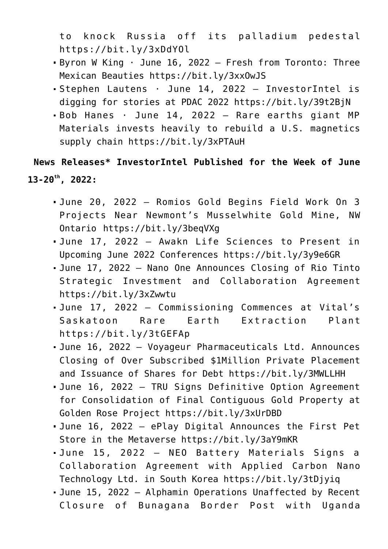to knock Russia off its palladium pedestal <https://bit.ly/3xDdYOl>

- Byron W King · June 16, 2022 Fresh from Toronto: Three Mexican Beauties<https://bit.ly/3xxOwJS>
- Stephen Lautens · June 14, 2022 InvestorIntel is digging for stories at PDAC 2022<https://bit.ly/39t2BjN>
- Bob Hanes · June 14, 2022 Rare earths giant MP Materials invests heavily to rebuild a U.S. magnetics supply chain <https://bit.ly/3xPTAuH>

**News Releases\* InvestorIntel Published for the Week of June 13-20th, 2022:**

- June 20, 2022 Romios Gold Begins Field Work On 3 Projects Near Newmont's Musselwhite Gold Mine, NW Ontario<https://bit.ly/3beqVXg>
- June 17, 2022 Awakn Life Sciences to Present in Upcoming June 2022 Conferences<https://bit.ly/3y9e6GR>
- June 17, 2022 Nano One Announces Closing of Rio Tinto Strategic Investment and Collaboration Agreement <https://bit.ly/3xZwwtu>
- June 17, 2022 Commissioning Commences at Vital's Saskatoon Rare Earth Extraction Plant <https://bit.ly/3tGEFAp>
- June 16, 2022 Voyageur Pharmaceuticals Ltd. Announces Closing of Over Subscribed \$1Million Private Placement and Issuance of Shares for Debt<https://bit.ly/3MWLLHH>
- June 16, 2022 TRU Signs Definitive Option Agreement for Consolidation of Final Contiguous Gold Property at Golden Rose Project <https://bit.ly/3xUrDBD>
- June 16, 2022 ePlay Digital Announces the First Pet Store in the Metaverse<https://bit.ly/3aY9mKR>
- June 15, 2022 NEO Battery Materials Signs a Collaboration Agreement with Applied Carbon Nano Technology Ltd. in South Korea<https://bit.ly/3tDjyiq>
- June 15, 2022 Alphamin Operations Unaffected by Recent Closure of Bunagana Border Post with Uganda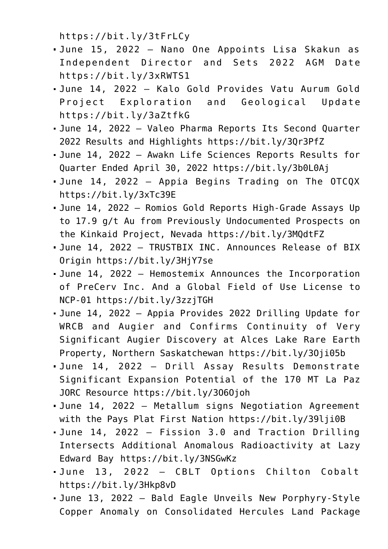<https://bit.ly/3tFrLCy>

- June 15, 2022 Nano One Appoints Lisa Skakun as Independent Director and Sets 2022 AGM Date <https://bit.ly/3xRWTS1>
- June 14, 2022 Kalo Gold Provides Vatu Aurum Gold Project Exploration and Geological Update <https://bit.ly/3aZtfkG>
- June 14, 2022 Valeo Pharma Reports Its Second Quarter 2022 Results and Highlights <https://bit.ly/3Qr3PfZ>
- June 14, 2022 Awakn Life Sciences Reports Results for Quarter Ended April 30, 2022 <https://bit.ly/3b0L0Aj>
- June 14, 2022 Appia Begins Trading on The OTCQX <https://bit.ly/3xTc39E>
- June 14, 2022 Romios Gold Reports High-Grade Assays Up to 17.9 g/t Au from Previously Undocumented Prospects on the Kinkaid Project, Nevada <https://bit.ly/3MQdtFZ>
- June 14, 2022 TRUSTBIX INC. Announces Release of BIX Origin<https://bit.ly/3HjY7se>
- June 14, 2022 Hemostemix Announces the Incorporation of PreCerv Inc. And a Global Field of Use License to NCP-01<https://bit.ly/3zzjTGH>
- June 14, 2022 Appia Provides 2022 Drilling Update for WRCB and Augier and Confirms Continuity of Very Significant Augier Discovery at Alces Lake Rare Earth Property, Northern Saskatchewan<https://bit.ly/3Oji05b>
- June 14, 2022 Drill Assay Results Demonstrate Significant Expansion Potential of the 170 MT La Paz JORC Resource<https://bit.ly/3O6Ojoh>
- June 14, 2022 Metallum signs Negotiation Agreement with the Pays Plat First Nation<https://bit.ly/39lji0B>
- June 14, 2022 Fission 3.0 and Traction Drilling Intersects Additional Anomalous Radioactivity at Lazy Edward Bay <https://bit.ly/3NSGwKz>
- June 13, 2022 CBLT Options Chilton Cobalt <https://bit.ly/3Hkp8vD>
- June 13, 2022 Bald Eagle Unveils New Porphyry-Style Copper Anomaly on Consolidated Hercules Land Package